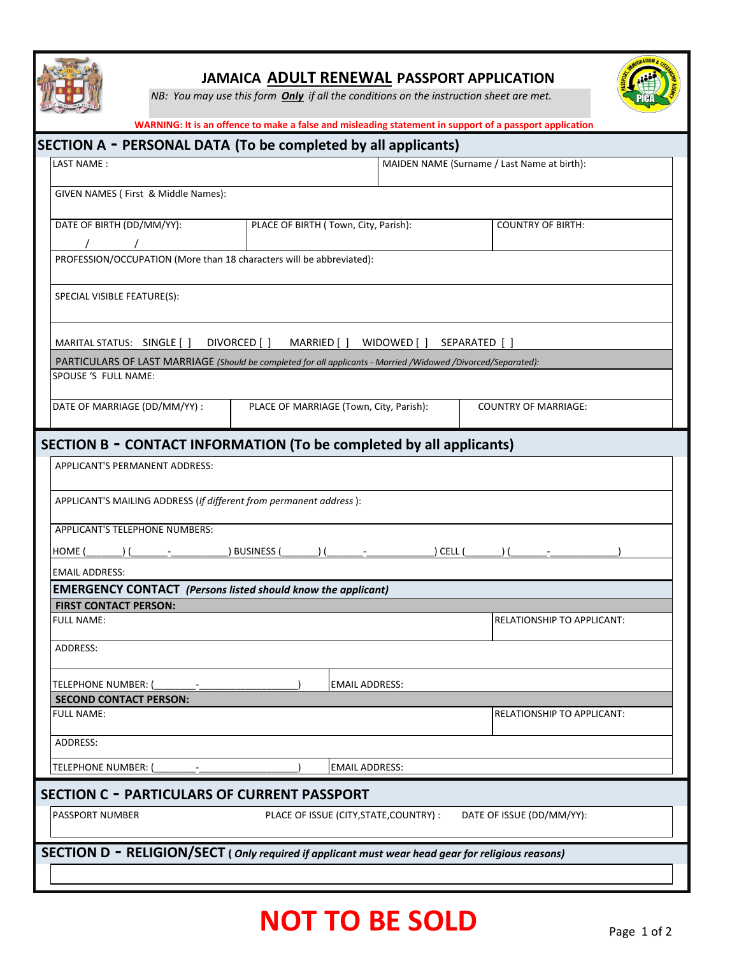

## **JAMAICA ADULT RENEWAL PASSPORT APPLICATION**

*NB: You may use this form Only if all the conditions on the instruction sheet are met.*



|                                                                                                               | SECTION A - PERSONAL DATA (To be completed by all applicants) |                                             |                                   |  |
|---------------------------------------------------------------------------------------------------------------|---------------------------------------------------------------|---------------------------------------------|-----------------------------------|--|
| LAST NAME:                                                                                                    |                                                               | MAIDEN NAME (Surname / Last Name at birth): |                                   |  |
| GIVEN NAMES ( First & Middle Names):                                                                          |                                                               |                                             |                                   |  |
|                                                                                                               |                                                               |                                             |                                   |  |
| DATE OF BIRTH (DD/MM/YY):                                                                                     | PLACE OF BIRTH (Town, City, Parish):                          |                                             | <b>COUNTRY OF BIRTH:</b>          |  |
|                                                                                                               |                                                               |                                             |                                   |  |
| PROFESSION/OCCUPATION (More than 18 characters will be abbreviated):                                          |                                                               |                                             |                                   |  |
| SPECIAL VISIBLE FEATURE(S):                                                                                   |                                                               |                                             |                                   |  |
| MARITAL STATUS: SINGLE []                                                                                     | DIVORCED [ ]<br>MARRIED [ ]                                   | WIDOWED []                                  | SEPARATED [ ]                     |  |
| PARTICULARS OF LAST MARRIAGE (Should be completed for all applicants - Married /Widowed /Divorced/Separated): |                                                               |                                             |                                   |  |
| SPOUSE 'S FULL NAME:                                                                                          |                                                               |                                             |                                   |  |
|                                                                                                               |                                                               |                                             |                                   |  |
| DATE OF MARRIAGE (DD/MM/YY) :                                                                                 | PLACE OF MARRIAGE (Town, City, Parish):                       |                                             | <b>COUNTRY OF MARRIAGE:</b>       |  |
|                                                                                                               |                                                               |                                             |                                   |  |
| SECTION B - CONTACT INFORMATION (To be completed by all applicants)                                           |                                                               |                                             |                                   |  |
| <b>APPLICANT'S PERMANENT ADDRESS:</b>                                                                         |                                                               |                                             |                                   |  |
|                                                                                                               |                                                               |                                             |                                   |  |
| APPLICANT'S MAILING ADDRESS (If different from permanent address):                                            |                                                               |                                             |                                   |  |
| APPLICANT'S TELEPHONE NUMBERS:                                                                                |                                                               |                                             |                                   |  |
| HOME (                                                                                                        | ) BUSINESS (                                                  | ) CELL (                                    |                                   |  |
| <b>EMAIL ADDRESS:</b>                                                                                         |                                                               |                                             |                                   |  |
|                                                                                                               |                                                               |                                             |                                   |  |
|                                                                                                               |                                                               |                                             |                                   |  |
| <b>EMERGENCY CONTACT</b> (Persons listed should know the applicant)<br><b>FIRST CONTACT PERSON:</b>           |                                                               |                                             |                                   |  |
| <b>FULL NAME:</b>                                                                                             |                                                               |                                             | RELATIONSHIP TO APPLICANT:        |  |
|                                                                                                               |                                                               |                                             |                                   |  |
| <b>ADDRESS:</b>                                                                                               |                                                               |                                             |                                   |  |
|                                                                                                               |                                                               |                                             |                                   |  |
| TELEPHONE NUMBER:<br><b>SECOND CONTACT PERSON:</b>                                                            | <b>EMAIL ADDRESS:</b>                                         |                                             |                                   |  |
| <b>FULL NAME:</b>                                                                                             |                                                               |                                             | <b>RELATIONSHIP TO APPLICANT:</b> |  |
|                                                                                                               |                                                               |                                             |                                   |  |
| ADDRESS:                                                                                                      |                                                               |                                             |                                   |  |
| <b>TELEPHONE NUMBER:</b>                                                                                      | <b>EMAIL ADDRESS:</b>                                         |                                             |                                   |  |
| <b>SECTION C - PARTICULARS OF CURRENT PASSPORT</b>                                                            |                                                               |                                             |                                   |  |
| <b>PASSPORT NUMBER</b>                                                                                        | PLACE OF ISSUE (CITY, STATE, COUNTRY) :                       |                                             | DATE OF ISSUE (DD/MM/YY):         |  |
|                                                                                                               |                                                               |                                             |                                   |  |